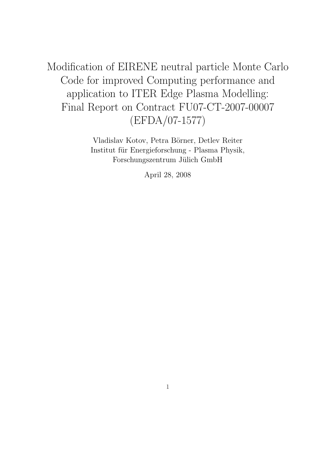Modification of EIRENE neutral particle Monte Carlo Code for improved Computing performance and application to ITER Edge Plasma Modelling: Final Report on Contract FU07-CT-2007-00007 (EFDA/07-1577)

> Vladislav Kotov, Petra Börner, Detlev Reiter Institut für Energieforschung - Plasma Physik, Forschungszentrum Jülich GmbH

> > April 28, 2008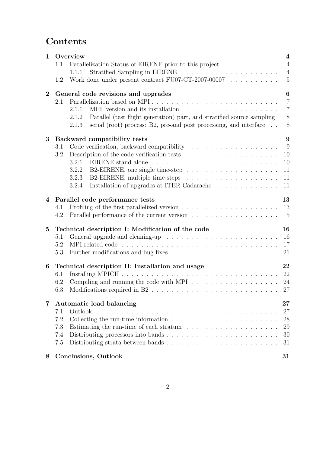# Contents

| Overview                        |                                                                                             |                                                                                                                                                                                                                                                                                                                                                                                                           |  |
|---------------------------------|---------------------------------------------------------------------------------------------|-----------------------------------------------------------------------------------------------------------------------------------------------------------------------------------------------------------------------------------------------------------------------------------------------------------------------------------------------------------------------------------------------------------|--|
| 1.1                             | Parallelization Status of EIRENE prior to this project                                      | $\overline{4}$                                                                                                                                                                                                                                                                                                                                                                                            |  |
|                                 | 1.1.1                                                                                       | $\overline{4}$                                                                                                                                                                                                                                                                                                                                                                                            |  |
| 1.2                             | Work done under present contract FU07-CT-2007-00007 $\ldots \ldots \ldots$                  | $\overline{5}$                                                                                                                                                                                                                                                                                                                                                                                            |  |
|                                 |                                                                                             | 6                                                                                                                                                                                                                                                                                                                                                                                                         |  |
| 2.1                             | Parallelization based on MPI                                                                | $\overline{7}$                                                                                                                                                                                                                                                                                                                                                                                            |  |
|                                 | 2.1.1                                                                                       | $\overline{7}$                                                                                                                                                                                                                                                                                                                                                                                            |  |
|                                 | Parallel (test flight generation) part, and stratified source sampling<br>2.1.2             | $8\,$                                                                                                                                                                                                                                                                                                                                                                                                     |  |
|                                 | serial (root) process: B2, pre-and post processing, and interface<br>2.1.3                  | 8                                                                                                                                                                                                                                                                                                                                                                                                         |  |
|                                 |                                                                                             | $9\phantom{.}$                                                                                                                                                                                                                                                                                                                                                                                            |  |
| 3.1                             |                                                                                             | 9                                                                                                                                                                                                                                                                                                                                                                                                         |  |
| 3.2                             | Description of the code verification tests $\dots \dots \dots \dots \dots \dots \dots$      | 10                                                                                                                                                                                                                                                                                                                                                                                                        |  |
|                                 |                                                                                             | 10                                                                                                                                                                                                                                                                                                                                                                                                        |  |
|                                 | 3.2.2                                                                                       | 11                                                                                                                                                                                                                                                                                                                                                                                                        |  |
|                                 | 3.2.3                                                                                       | 11                                                                                                                                                                                                                                                                                                                                                                                                        |  |
|                                 | 3.2.4                                                                                       | 11                                                                                                                                                                                                                                                                                                                                                                                                        |  |
| Parallel code performance tests |                                                                                             |                                                                                                                                                                                                                                                                                                                                                                                                           |  |
| 4.1                             |                                                                                             | 13                                                                                                                                                                                                                                                                                                                                                                                                        |  |
| 4.2                             |                                                                                             | 15                                                                                                                                                                                                                                                                                                                                                                                                        |  |
|                                 |                                                                                             | 16                                                                                                                                                                                                                                                                                                                                                                                                        |  |
| 5.1                             |                                                                                             | 16                                                                                                                                                                                                                                                                                                                                                                                                        |  |
| 5.2                             |                                                                                             | 17                                                                                                                                                                                                                                                                                                                                                                                                        |  |
|                                 |                                                                                             | 21                                                                                                                                                                                                                                                                                                                                                                                                        |  |
|                                 |                                                                                             | 22                                                                                                                                                                                                                                                                                                                                                                                                        |  |
| 6.1                             |                                                                                             | 22                                                                                                                                                                                                                                                                                                                                                                                                        |  |
| 6.2                             | Compiling and running the code with MPI $\ldots \ldots \ldots \ldots \ldots \ldots$         | 24                                                                                                                                                                                                                                                                                                                                                                                                        |  |
| 6.3                             |                                                                                             |                                                                                                                                                                                                                                                                                                                                                                                                           |  |
| Automatic load balancing        |                                                                                             |                                                                                                                                                                                                                                                                                                                                                                                                           |  |
| 7.1                             |                                                                                             | 27                                                                                                                                                                                                                                                                                                                                                                                                        |  |
| 7.2                             | Collecting the run-time information $\dots \dots \dots \dots \dots \dots \dots \dots \dots$ | 28                                                                                                                                                                                                                                                                                                                                                                                                        |  |
| 7.3                             | Estimating the run-time of each stratum $\ldots \ldots \ldots \ldots \ldots \ldots$         | 29                                                                                                                                                                                                                                                                                                                                                                                                        |  |
| 7.4                             |                                                                                             | 30                                                                                                                                                                                                                                                                                                                                                                                                        |  |
| 7.5                             |                                                                                             | 31                                                                                                                                                                                                                                                                                                                                                                                                        |  |
|                                 |                                                                                             | 31                                                                                                                                                                                                                                                                                                                                                                                                        |  |
|                                 | 5.3                                                                                         | General code revisions and upgrades<br>Backward compatibility tests<br>Installation of upgrades at ITER Cadarache $\;\ldots\; \ldots\; \ldots\; \ldots\; \ldots\; \ldots\;$<br>Technical description I: Modification of the code<br>General upgrade and cleaning-up $\ldots \ldots \ldots \ldots \ldots \ldots \ldots \ldots$<br>Technical description II: Installation and usage<br>Conclusions, Outlook |  |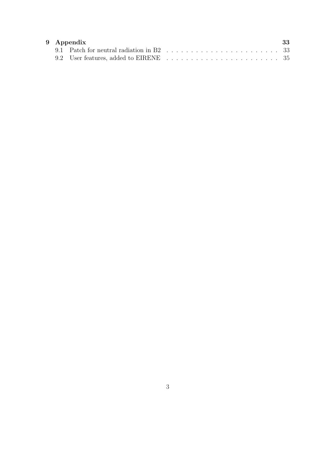| 9 Appendix<br>-33 |  |  |
|-------------------|--|--|
|                   |  |  |
|                   |  |  |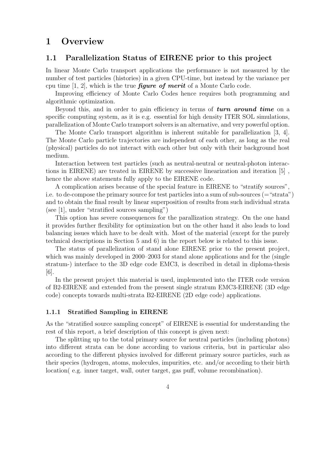## 1 Overview

### 1.1 Parallelization Status of EIRENE prior to this project

In linear Monte Carlo transport applications the performance is not measured by the number of test particles (histories) in a given CPU-time, but instead by the variance per cpu time  $[1, 2]$ , which is the true *figure of merit* of a Monte Carlo code.

Improving efficiency of Monte Carlo Codes hence requires both programming and algorithmic optimization.

Beyond this, and in order to gain efficiency in terms of turn around time on a specific computing system, as it is e.g. essential for high density ITER SOL simulations, parallelization of Monte Carlo transport solvers is an alternative, and very powerful option.

The Monte Carlo transport algorithm is inherent suitable for parallelization [3, 4]. The Monte Carlo particle trajectories are independent of each other, as long as the real (physical) particles do not interact with each other but only with their background host medium.

Interaction between test particles (such as neutral-neutral or neutral-photon interactions in EIRENE) are treated in EIRENE by successive linearization and iteration [5] , hence the above statements fully apply to the EIRENE code.

A complication arises because of the special feature in EIRENE to "stratify sources", i.e. to de-compose the primary source for test particles into a sum of sub-sources (="strata") and to obtain the final result by linear superposition of results from such individual strata (see [1], under "stratified sources sampling")

This option has severe consequences for the parallization strategy. On the one hand it provides further flexibility for optimization but on the other hand it also leads to load balancing issues which have to be dealt with. Most of the material (except for the purely technical descriptions in Section 5 and 6) in the report below is related to this issue.

The status of parallelization of stand alone EIRENE prior to the present project, which was mainly developed in 2000–2003 for stand alone applications and for the (single stratum-) interface to the 3D edge code EMC3, is described in detail in diploma-thesis  $|6|$ .

In the present project this material is used, implemented into the ITER code version of B2-EIRENE and extended from the present single stratum EMC3-EIRENE (3D edge code) concepts towards multi-strata B2-EIRENE (2D edge code) applications.

#### 1.1.1 Stratified Sampling in EIRENE

As the "stratified source sampling concept" of EIRENE is essential for understanding the rest of this report, a brief description of this concept is given next:

The splitting up to the total primary source for neutral particles (including photons) into different strata can be done according to various criteria, but in particular also according to the different physics involved for different primary source particles, such as their species (hydrogen, atoms, molecules, impurities, etc. and/or according to their birth location( e.g. inner target, wall, outer target, gas puff, volume recombination).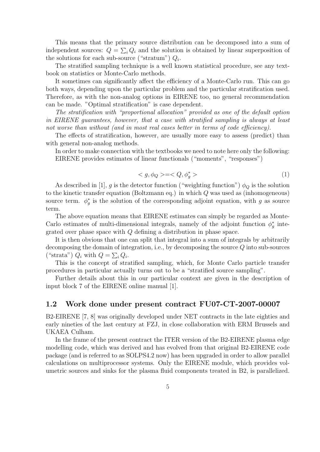This means that the primary source distribution can be decomposed into a sum of independent sources:  $Q = \sum_i Q_i$  and the solution is obtained by linear superposition of the solutions for each sub-source ("stratum")  $Q_i$ .

The stratified sampling technique is a well known statistical procedure, see any textbook on statistics or Monte-Carlo methods.

It sometimes can significantly affect the efficiency of a Monte-Carlo run. This can go both ways, depending upon the particular problem and the particular stratification used. Therefore, as with the non-analog options in EIRENE too, no general recommendation can be made. "Optimal stratification" is case dependent.

The stratification with "proportional allocation" provided as one of the default option in EIRENE guarantees, however, that a case with stratified sampling is always at least not worse than without (and in most real cases better in terms of code efficiency).

The effects of stratification, however, are usually more easy to assess (predict) than with general non-analog methods.

In order to make connection with the textbooks we need to note here only the following: EIRENE provides estimates of linear functionals ("moments", "responses")

$$
\langle g, \phi_Q \rangle = \langle Q, \phi_g^* \rangle \tag{1}
$$

As described in [1], g is the detector function ("weighting function")  $\phi_Q$  is the solution to the kinetic transfer equation (Boltzmann eq.) in which Q was used as (inhomogeneous) source term.  $\phi_g^*$  is the solution of the corresponding adjoint equation, with g as source term.

The above equation means that EIRENE estimates can simply be regarded as Monte-Carlo estimates of multi-dimensional integrals, namely of the adjoint function  $\phi_g^*$  integrated over phase space with Q defining a distribution in phase space.

It is then obvious that one can split that integral into a sum of integrals by arbitrarily decomposing the domain of integration, i.e., by decomposing the source  $Q$  into sub-sources ("strata")  $Q_i$  with  $Q = \sum_i Q_i$ .

This is the concept of stratified sampling, which, for Monte Carlo particle transfer procedures in particular actually turns out to be a "stratified source sampling".

Further details about this in our particular context are given in the description of input block 7 of the EIRENE online manual [1].

## 1.2 Work done under present contract FU07-CT-2007-00007

B2-EIRENE [7, 8] was originally developed under NET contracts in the late eighties and early nineties of the last century at FZJ, in close collaboration with ERM Brussels and UKAEA Culham.

In the frame of the present contract the ITER version of the B2-EIRENE plasma edge modelling code, which was derived and has evolved from that original B2-EIRENE code package (and is referred to as SOLPS4.2 now) has been upgraded in order to allow parallel calculations on multiprocessor systems. Only the EIRENE module, which provides volumetric sources and sinks for the plasma fluid components treated in B2, is parallelized.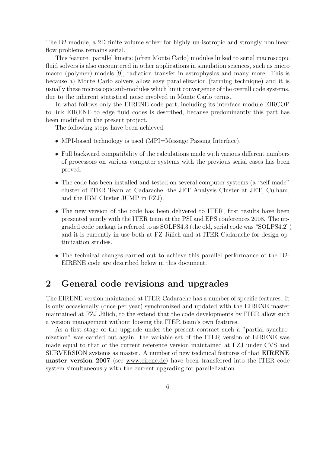The B2 module, a 2D finite volume solver for highly un-isotropic and strongly nonlinear flow problems remains serial.

This feature: parallel kinetic (often Monte Carlo) modules linked to serial macroscopic fluid solvers is also encountered in other applications in simulation sciences, such as micro macro (polymer) models [9], radiation transfer in astrophysics and many more. This is because a) Monte Carlo solvers allow easy parallelization (farming technique) and it is usually these microscopic sub-modules which limit convergence of the overall code systems, due to the inherent statistical noise involved in Monte Carlo terms.

In what follows only the EIRENE code part, including its interface module EIRCOP to link EIRENE to edge fluid codes is described, because predominantly this part has been modified in the present project.

The following steps have been achieved:

- MPI-based technology is used (MPI=Message Passing Interface).
- Full backward compatibility of the calculations made with various different numbers of processors on various computer systems with the previous serial cases has been proved.
- The code has been installed and tested on several computer systems (a "self-made" cluster of ITER Team at Cadarache, the JET Analysis Cluster at JET, Culham, and the IBM Cluster JUMP in FZJ).
- The new version of the code has been delivered to ITER, first results have been presented jointly with the ITER team at the PSI and EPS conferences 2008. The upgraded code package is referred to as SOLPS4.3 (the old, serial code was "SOLPS4.2") and it is currently in use both at  $FZ$  Jülich and at ITER-Cadarache for design optimization studies.
- The technical changes carried out to achieve this parallel performance of the B2- EIRENE code are described below in this document.

## 2 General code revisions and upgrades

The EIRENE version maintained at ITER-Cadarache has a number of specific features. It is only occasionally (once per year) synchronized and updated with the EIRENE master maintained at FZJ Jülich, to the extend that the code developments by ITER allow such a version management without loosing the ITER team's own features.

As a first stage of the upgrade under the present contract such a "partial synchronization" was carried out again: the variable set of the ITER version of EIRENE was made equal to that of the current reference version maintained at FZJ under CVS and SUBVERSION systems as master. A number of new technical features of that EIRENE master version 2007 (see www.eirene.de) have been transferred into the ITER code system simultaneously with the current upgrading for parallelization.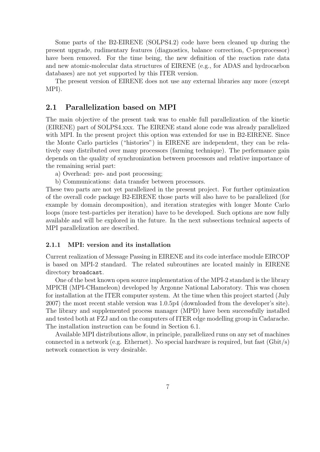Some parts of the B2-EIRENE (SOLPS4.2) code have been cleaned up during the present upgrade, rudimentary features (diagnostics, balance correction, C-preprocessor) have been removed. For the time being, the new definition of the reaction rate data and new atomic-molecular data structures of EIRENE (e.g., for ADAS and hydrocarbon databases) are not yet supported by this ITER version.

The present version of EIRENE does not use any external libraries any more (except MPI).

## 2.1 Parallelization based on MPI

The main objective of the present task was to enable full parallelization of the kinetic (EIRENE) part of SOLPS4.xxx. The EIRENE stand alone code was already parallelized with MPI. In the present project this option was extended for use in B2-EIRENE. Since the Monte Carlo particles ("histories") in EIRENE are independent, they can be relatively easy distributed over many processors (farming technique). The performance gain depends on the quality of synchronization between processors and relative importance of the remaining serial part:

- a) Overhead: pre- and post processing;
- b) Communications: data transfer between processors.

These two parts are not yet parallelized in the present project. For further optimization of the overall code package B2-EIRENE those parts will also have to be parallelized (for example by domain decomposition), and iteration strategies with longer Monte Carlo loops (more test-particles per iteration) have to be developed. Such options are now fully available and will be explored in the future. In the next subsections technical aspects of MPI parallelization are described.

### 2.1.1 MPI: version and its installation

Current realization of Message Passing in EIRENE and its code interface module EIRCOP is based on MPI-2 standard. The related subroutines are located mainly in EIRENE directory broadcast.

One of the best known open source implementation of the MPI-2 standard is the library MPICH (MPI-CHameleon) developed by Argonne National Laboratory. This was chosen for installation at the ITER computer system. At the time when this project started (July 2007) the most recent stable version was 1.0.5p4 (downloaded from the developer's site). The library and supplemented process manager (MPD) have been successfully installed and tested both at FZJ and on the computers of ITER edge modelling group in Cadarache. The installation instruction can be found in Section 6.1.

Available MPI distributions allow, in principle, parallelized runs on any set of machines connected in a network (e.g. Ethernet). No special hardware is required, but fast  $(Gbit/s)$ network connection is very desirable.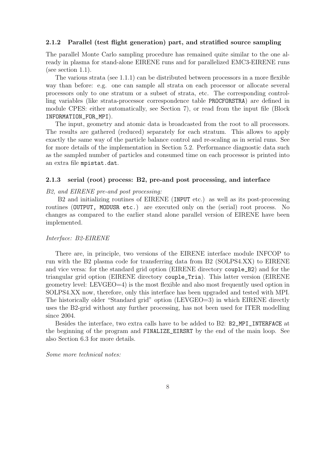#### 2.1.2 Parallel (test flight generation) part, and stratified source sampling

The parallel Monte Carlo sampling procedure has remained quite similar to the one already in plasma for stand-alone EIRENE runs and for parallelized EMC3-EIRENE runs (see section 1.1).

The various strata (see 1.1.1) can be distributed between processors in a more flexible way than before: e.g. one can sample all strata on each processor or allocate several processors only to one stratum or a subset of strata, etc. The corresponding controlling variables (like strata-processor correspondence table PROCFORSTRA) are defined in module CPES: either automatically, see Section 7), or read from the input file (Block INFORMATION\_FOR\_MPI).

The input, geometry and atomic data is broadcasted from the root to all processors. The results are gathered (reduced) separately for each stratum. This allows to apply exactly the same way of the particle balance control and re-scaling as in serial runs. See for more details of the implementation in Section 5.2. Performance diagnostic data such as the sampled number of particles and consumed time on each processor is printed into an extra file mpistat.dat.

#### 2.1.3 serial (root) process: B2, pre-and post processing, and interface

B2, and EIRENE pre-and post processing:

B2 and initializing routines of EIRENE (INPUT etc.) as well as its post-processing routines (OUTPUT, MODUSR etc.) are executed only on the (serial) root process. No changes as compared to the earlier stand alone parallel version of EIRENE have been implemented.

#### Interface: B2-EIRENE

There are, in principle, two versions of the EIRENE interface module INFCOP to run with the B2 plasma code for transferring data from B2 (SOLPS4.XX) to EIRENE and vice versa: for the standard grid option (EIRENE directory couple\_B2) and for the triangular grid option (EIRENE directory couple\_Tria). This latter version (EIRENE geometry level: LEVGEO=4) is the most flexible and also most frequently used option in SOLPS4.XX now, therefore, only this interface has been upgraded and tested with MPI. The historically older "Standard grid" option (LEVGEO=3) in which EIRENE directly uses the B2-grid without any further processing, has not been used for ITER modelling since 2004.

Besides the interface, two extra calls have to be added to B2: B2\_MPI\_INTERFACE at the beginning of the program and FINALIZE\_EIRSRT by the end of the main loop. See also Section 6.3 for more details.

#### Some more technical notes: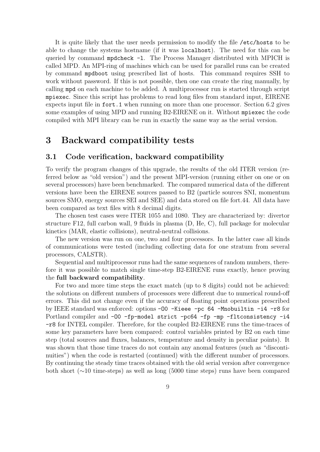It is quite likely that the user needs permission to modify the file /etc/hosts to be able to change the systems hostname (if it was localhost). The need for this can be queried by command mpdcheck -l. The Process Manager distributed with MPICH is called MPD. An MPI-ring of machines which can be used for parallel runs can be created by command mpdboot using prescribed list of hosts. This command requires SSH to work without password. If this is not possible, then one can create the ring manually, by calling mpd on each machine to be added. A multiprocessor run is started through script mpiexec. Since this script has problems to read long files from standard input, EIRENE expects input file in fort.1 when running on more than one processor. Section 6.2 gives some examples of using MPD and running B2-EIRENE on it. Without mpiexec the code compiled with MPI library can be run in exactly the same way as the serial version.

## 3 Backward compatibility tests

### 3.1 Code verification, backward compatibility

To verify the program changes of this upgrade, the results of the old ITER version (referred below as "old version") and the present MPI-version (running either on one or on several processors) have been benchmarked. The compared numerical data of the different versions have been the EIRENE sources passed to B2 (particle sources SNI, momentum sources SMO, energy sources SEI and SEE) and data stored on file fort.44. All data have been compared as text files with 8 decimal digits.

The chosen test cases were ITER 1055 and 1080. They are characterized by: divertor structure F12, full carbon wall, 9 fluids in plasma (D, He, C), full package for molecular kinetics (MAR, elastic collisions), neutral-neutral collisions.

The new version was run on one, two and four processors. In the latter case all kinds of communications were tested (including collecting data for one stratum from several processors, CALSTR).

Sequential and multiprocessor runs had the same sequences of random numbers, therefore it was possible to match single time-step B2-EIRENE runs exactly, hence proving the full backward compatibility.

For two and more time steps the exact match (up to 8 digits) could not be achieved: the solutions on different numbers of processors were different due to numerical round-off errors. This did not change even if the accuracy of floating point operations prescribed by IEEE standard was enforced: options -O0 -Kieee -pc 64 -Mnobuiltin -i4 -r8 for Portland compiler and -O0 -fp-model strict -pc64 -fp -mp -fltconsistency -i4 -r8 for INTEL compiler. Therefore, for the coupled B2-EIRENE runs the time-traces of some key parameters have been compared: control variables printed by B2 on each time step (total sources and fluxes, balances, temperature and density in peculiar points). It was shown that those time traces do not contain any anomal features (such as "discontinuities") when the code is restarted (continued) with the different number of processors. By continuing the steady time traces obtained with the old serial version after convergence both short (∼10 time-steps) as well as long (5000 time steps) runs have been compared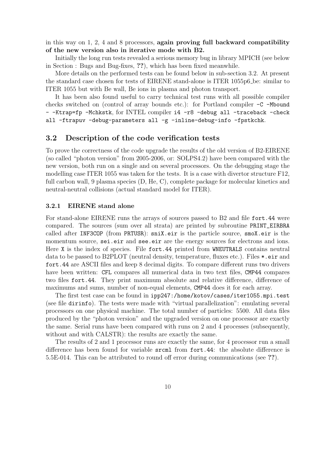in this way on 1, 2, 4 and 8 processors, again proving full backward compatibility of the new version also in iterative mode with B2.

Initially the long run tests revealed a serious memory bug in library MPICH (see below in Section : Bugs and Bug-fixes, ??), which has been fixed meanwhile.

More details on the performed tests can be found below in sub-section 3.2. At present the standard case chosen for tests of EIRENE stand-alone is ITER 1055p6 be: similar to ITER 1055 but with Be wall, Be ions in plasma and photon transport.

It has been also found useful to carry technical test runs with all possible compiler checks switched on (control of array bounds etc.): for Portland compiler -C -Mbound - -Ktrap=fp -Mchkstk, for INTEL compiler i4 -r8 -debug all -traceback -check all -ftrapuv -debug-parameters all -g -inline-debug-info -fpstkchk.

### 3.2 Description of the code verification tests

To prove the correctness of the code upgrade the results of the old version of B2-EIRENE (so called "photon version" from 2005-2006, or: SOLPS4.2) have been compared with the new version, both run on a single and on several processors. On the debugging stage the modelling case ITER 1055 was taken for the tests. It is a case with divertor structure F12, full carbon wall, 9 plasma species (D, He, C), complete package for molecular kinetics and neutral-neutral collisions (actual standard model for ITER).

#### 3.2.1 EIRENE stand alone

For stand-alone EIRENE runs the arrays of sources passed to B2 and file fort.44 were compared. The sources (sum over all strata) are printed by subroutine PRINT\_EIRBRA called after INF3COP (from PRTUSR): sniX.eir is the particle source, smoX.eir is the momentum source, sei.eir and see.eir are the energy sources for electrons and ions. Here X is the index of species. File fort.44 printed from WNEUTRALS contains neutral data to be passed to B2PLOT (neutral density, temperature, fluxes etc.). Files \*.eir and fort.44 are ASCII files and keep 8 decimal digits. To compare different runs two drivers have been written: CFL compares all numerical data in two text files, CMP44 compares two files fort.44. They print maximum absolute and relative difference, difference of maximums and sums, number of non-equal elements, CMP44 does it for each array.

The first test case can be found in ipp247:/home/kotov/cases/iter1055.mpi.test (see file dirinfo). The tests were made with "virtual parallelization": emulating several processors on one physical machine. The total number of particles: 5500. All data files produced by the "photon version" and the upgraded version on one processor are exactly the same. Serial runs have been compared with runs on 2 and 4 processes (subsequently, without and with CALSTR): the results are exactly the same.

The results of 2 and 1 processor runs are exactly the same, for 4 processor run a small difference has been found for variable srcml from fort.44: the absolute difference is 5.5E-014. This can be attributed to round off error during communications (see ??).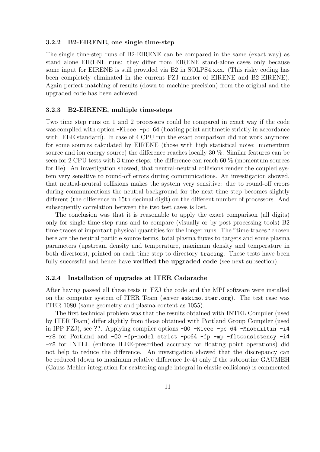#### 3.2.2 B2-EIRENE, one single time-step

The single time-step runs of B2-EIRENE can be compared in the same (exact way) as stand alone EIRENE runs: they differ from EIRENE stand-alone cases only because some input for EIRENE is still provided via B2 in SOLPS4.xxx. (This risky coding has been completely eliminated in the current FZJ master of EIRENE and B2-EIRENE). Again perfect matching of results (down to machine precision) from the original and the upgraded code has been achieved.

#### 3.2.3 B2-EIRENE, multiple time-steps

Two time step runs on 1 and 2 processors could be compared in exact way if the code was compiled with option -Kieee -pc 64 (floating point arithmetic strictly in accordance with IEEE standard). In case of 4 CPU run the exact comparison did not work anymore: for some sources calculated by EIRENE (those with high statistical noise: momentum source and ion energy source) the difference reaches locally 30 %. Similar features can be seen for 2 CPU tests with 3 time-steps: the difference can reach 60 % (momentum sources for He). An investigation showed, that neutral-neutral collisions render the coupled system very sensitive to round-off errors during communications. An investigation showed, that neutral-neutral collisions makes the system very sensitive: due to round-off errors during communications the neutral background for the next time step becomes slightly different (the difference in 15th decimal digit) on the different number of processors. And subsequently correlation between the two test cases is lost.

The conclusion was that it is reasonable to apply the exact comparison (all digits) only for single time-step runs and to compare (visually or by post processing tools) B2 time-traces of important physical quantities for the longer runs. The "time-traces" chosen here are the neutral particle source terms, total plasma fluxes to targets and some plasma parameters (upstream density and temperature, maximum density and temperature in both divertors), printed on each time step to directory tracing. These tests have been fully successful and hence have **verified the upgraded code** (see next subsection).

#### 3.2.4 Installation of upgrades at ITER Cadarache

After having passed all these tests in FZJ the code and the MPI software were installed on the computer system of ITER Team (server eskimo.iter.org). The test case was ITER 1080 (same geometry and plasma content as 1055).

The first technical problem was that the results obtained with INTEL Compiler (used by ITER Team) differ slightly from those obtained with Portland Group Compiler (used in IPP FZJ), see ??. Applying compiler options  $-00$  -Kieee  $-pc$  64 -Mnobuiltin  $-i4$ -r8 for Portland and -O0 -fp-model strict -pc64 -fp -mp -fltconsistency -i4 -r8 for INTEL (enforce IEEE-prescribed accuracy for floating point operations) did not help to reduce the difference. An investigation showed that the discrepancy can be reduced (down to maximum relative difference 1e-4) only if the subroutine GAUMEH (Gauss-Mehler integration for scattering angle integral in elastic collisions) is commented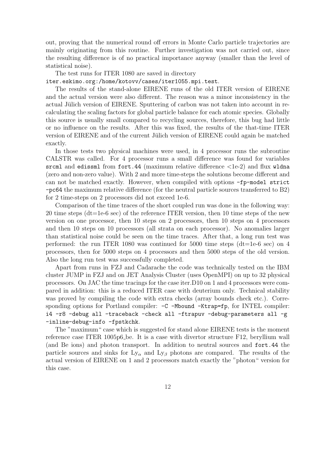out, proving that the numerical round off errors in Monte Carlo particle trajectories are mainly originating from this routine. Further investigation was not carried out, since the resulting difference is of no practical importance anyway (smaller than the level of statistical noise).

The test runs for ITER 1080 are saved in directory

### iter.eskimo.org:/home/kotovv/cases/iter1055.mpi.test.

The results of the stand-alone EIRENE runs of the old ITER version of EIRENE and the actual version were also different. The reason was a minor inconsistency in the actual Jülich version of EIRENE. Sputtering of carbon was not taken into account in recalculating the scaling factors for global particle balance for each atomic species. Globally this source is usually small compared to recycling sources, therefore, this bug had little or no influence on the results. After this was fixed, the results of the that-time ITER version of EIRENE and of the current Jülich version of EIRENE could again be matched exactly.

In those tests two physical machines were used, in 4 processor runs the subroutine CALSTR was called. For 4 processor runs a small difference was found for variables srcml and edissml from fort.44 (maximum relative difference  $\langle$ 1e-2) and flux wldna (zero and non-zero value). With 2 and more time-steps the solutions become different and can not be matched exactly. However, when compiled with options -fp-model strict -pc64 the maximum relative difference (for the neutral particle sources transferred to B2) for 2 time-steps on 2 processors did not exceed 1e-6.

Comparison of the time traces of the short coupled run was done in the following way: 20 time steps (dt=1e-6 sec) of the reference ITER version, then 10 time steps of the new version on one processor, then 10 steps on 2 processors, then 10 steps on 4 processors and then 10 steps on 10 processors (all strata on each processor). No anomalies larger than statistical noise could be seen on the time traces. After that, a long run test was performed: the run ITER 1080 was continued for 5000 time steps (dt=1e-6 sec) on 4 processors, then for 5000 steps on 4 processors and then 5000 steps of the old version. Also the long run test was successfully completed.

Apart from runs in FZJ and Cadarache the code was technically tested on the IBM cluster JUMP in FZJ and on JET Analysis Cluster (uses OpenMPI) on up to 32 physical processors. On JAC the time tracings for the case iter.D10 on 1 and 4 processors were compared in addition: this is a reduced ITER case with deuterium only. Technical stability was proved by compiling the code with extra checks (array bounds check etc.). Corresponding options for Portland compiler:  $-C$  -Mbound -Ktrap=fp, for INTEL compiler: i4 -r8 -debug all -traceback -check all -ftrapuv -debug-parameters all -g -inline-debug-info -fpstkchk.

The "maximum" case which is suggested for stand alone EIRENE tests is the moment reference case ITER 1005p6 be. It is a case with divertor structure F12, beryllium wall (and Be ions) and photon transport. In addition to neutral sources and fort.44 the particle sources and sinks for  $Ly_{\alpha}$  and  $Ly_{\beta}$  photons are compared. The results of the actual version of EIRENE on 1 and 2 processors match exactly the "photon" version for this case.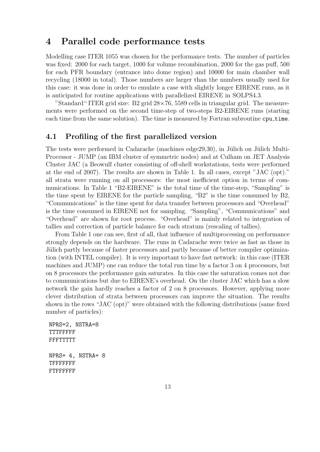## 4 Parallel code performance tests

Modelling case ITER 1055 was chosen for the performance tests. The number of particles was fixed: 2000 for each target, 1000 for volume recombination, 2000 for the gas puff, 500 for each PFR boundary (entrance into dome region) and 10000 for main chamber wall recycling (18000 in total). Those numbers are larger than the numbers usually used for this case: it was done in order to emulate a case with slightly longer EIRENE runs, as it is anticipated for routine applications with parallelized EIRENE in SOLPS4.3.

"Standard" ITER grid size: B2 grid  $28 \times 76$ , 5589 cells in triangular grid. The measurements were performed on the second time-step of two-steps B2-EIRENE runs (starting each time from the same solution). The time is measured by Fortran subroutine cpu time.

### 4.1 Profiling of the first parallelized version

The tests were performed in Cadarache (machines edge $29,30$ ), in Jülich on Jülich Multi-Processor - JUMP (an IBM cluster of symmetric nodes) and at Culham on JET Analysis Cluster JAC (a Beowulf cluster consisting of off-shell workstations, tests were performed at the end of 2007). The results are shown in Table 1. In all cases, except "JAC (opt)." all strata were running on all processors: the most inefficient option in terms of communications. In Table 1 "B2-EIRENE" is the total time of the time-step, "Sampling" is the time spent by EIRENE for the particle sampling, "B2" is the time consumed by B2, "Communications" is the time spent for data transfer between processors and "Overhead" is the time consumed in EIRENE not for sampling. "Sampling", "Communications" and "Overhead" are shown for root process. "Overhead" is mainly related to integration of tallies and correction of particle balance for each stratum (rescaling of tallies).

From Table 1 one can see, first of all, that influence of multiprocessing on performance strongly depends on the hardware. The runs in Cadarache were twice as fast as those in Jülich partly because of faster processors and partly because of better compiler optimization (with INTEL compiler). It is very important to have fast network: in this case (ITER machines and JUMP) one can reduce the total run time by a factor 3 on 4 processors, but on 8 processors the performance gain saturates. In this case the saturation comes not due to communications but due to EIRENE's overhead. On the cluster JAC which has a slow network the gain hardly reaches a factor of 2 on 8 processors. However, applying more clever distribution of strata between processors can improve the situation. The results shown in the rows "JAC (opt)" were obtained with the following distributions (same fixed number of particles):

```
NPRS=2, NSTRA=8
TTTFFFFF
FFFTTTTT
NPRS= 4, NSTRA= 8
TFFFFFFF
FTFFFFFF
```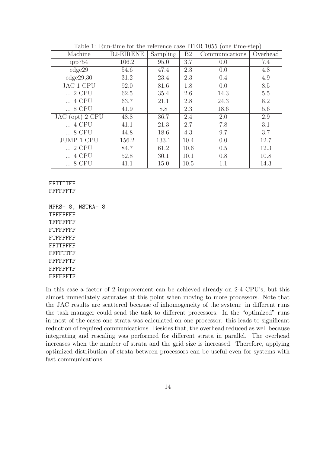|                   |                  |          |                |                | $\mathbf{I}$ |
|-------------------|------------------|----------|----------------|----------------|--------------|
| Machine           | <b>B2-EIRENE</b> | Sampling | B <sub>2</sub> | Communications | Overhead     |
| ipp754            | 106.2            | 95.0     | 3.7            | 0.0            | 7.4          |
| edge29            | 54.6             | 47.4     | 2.3            | 0.0            | 4.8          |
| edge29,30         | 31.2             | 23.4     | 2.3            | 0.4            | 4.9          |
| <b>JAC 1 CPU</b>  | 92.0             | 81.6     | 1.8            | 0.0            | 8.5          |
| 2 CPU             | 62.5             | 35.4     | 2.6            | 14.3           | 5.5          |
| 4 CPU             | 63.7             | 21.1     | 2.8            | 24.3           | 8.2          |
| $\ldots$ 8 CPU    | 41.9             | 8.8      | 2.3            | 18.6           | 5.6          |
| JAC (opt) 2 CPU   | 48.8             | 36.7     | 2.4            | 2.0            | 2.9          |
| 4 CPU             | 41.1             | 21.3     | 2.7            | 7.8            | 3.1          |
| $\ldots$ 8 CPU    | 44.8             | 18.6     | 4.3            | 9.7            | 3.7          |
| <b>JUMP 1 CPU</b> | 156.2            | 133.1    | 10.4           | 0.0            | 12.7         |
| 2 CPU             | 84.7             | 61.2     | 10.6           | 0.5            | 12.3         |
| 4 CPU             | 52.8             | 30.1     | 10.1           | 0.8            | 10.8         |
| 8 CPU             | 41.1             | 15.0     | 10.5           | 1.1            | 14.3         |

Table 1: Run-time for the reference case ITER 1055 (one time-step)

### FFTTTTFF FFFFFFTF

NPRS= 8, NSTRA= 8 **TFFFFFFF TFFFFFFF** FTFFFFFF FTFFFFFF FFTTFFFF FFFFTTFF FFFFFFTF FFFFFFTF FFFFFFTF

In this case a factor of 2 improvement can be achieved already on 2-4 CPU's, but this almost immediately saturates at this point when moving to more processors. Note that the JAC results are scattered because of inhomogeneity of the system: in different runs the task manager could send the task to different processors. In the "optimized" runs in most of the cases one strata was calculated on one processor: this leads to significant reduction of required communications. Besides that, the overhead reduced as well because integrating and rescaling was performed for different strata in parallel. The overhead increases when the number of strata and the grid size is increased. Therefore, applying optimized distribution of strata between processors can be useful even for systems with fast communications.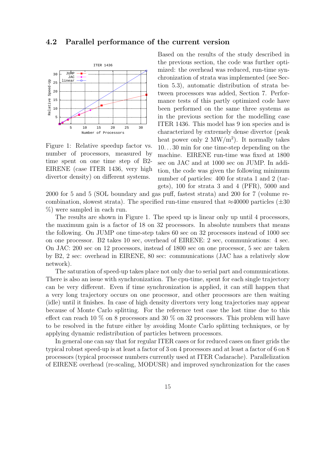### 4.2 Parallel performance of the current version



Figure 1: Relative speedup factor vs. number of processors, measured by time spent on one time step of B2- EIRENE (case ITER 1436, very high divertor density) on different systems.

Based on the results of the study described in the previous section, the code was further optimized: the overhead was reduced, run-time synchronization of strata was implemented (see Section 5.3), automatic distribution of strata between processors was added, Section 7. Performance tests of this partly optimized code have been performed on the same three systems as in the previous section for the modelling case ITER 1436. This model has 9 ion species and is characterized by extremely dense divertor (peak heat power only  $2 \text{ MW/m}^2$ ). It normally takes 10. . . 30 min for one time-step depending on the machine. EIRENE run-time was fixed at 1800 sec on JAC and at 1000 sec on JUMP. In addition, the code was given the following minimum number of particles: 400 for strata 1 and 2 (targets), 100 for strata 3 and 4 (PFR), 5000 and

2000 for 5 and 5 (SOL boundary and gas puff, fastest strata) and 200 for 7 (volume recombination, slowest strata). The specified run-time ensured that  $\approx 40000$  particles ( $\pm 30$ ) %) were sampled in each run.

The results are shown in Figure 1. The speed up is linear only up until 4 processors, the maximum gain is a factor of 18 on 32 processors. In absolute numbers that means the following. On JUMP one time-step takes 60 sec on 32 processors instead of 1000 sec on one processor. B2 takes 10 sec, overhead of EIRENE: 2 sec, communications: 4 sec. On JAC: 200 sec on 12 processors, instead of 1800 sec on one processor, 5 sec are taken by B2, 2 sec: overhead in EIRENE, 80 sec: communications (JAC has a relatively slow network).

The saturation of speed-up takes place not only due to serial part and communications. There is also an issue with synchronization. The cpu-time, spent for each single trajectory can be very different. Even if time synchronization is applied, it can still happen that a very long trajectory occurs on one processor, and other processors are then waiting (idle) until it finishes. In case of high density divertors very long trajectories may appear because of Monte Carlo splitting. For the reference test case the lost time due to this effect can reach 10  $\%$  on 8 processors and 30  $\%$  on 32 processors. This problem will have to be resolved in the future either by avoiding Monte Carlo splitting techniques, or by applying dynamic redistribution of particles between processors.

In general one can say that for regular ITER cases or for reduced cases on finer grids the typical robust speed-up is at least a factor of 3 on 4 processors and at least a factor of 6 on 8 processors (typical processor numbers currently used at ITER Cadarache). Parallelization of EIRENE overhead (re-scaling, MODUSR) and improved synchronization for the cases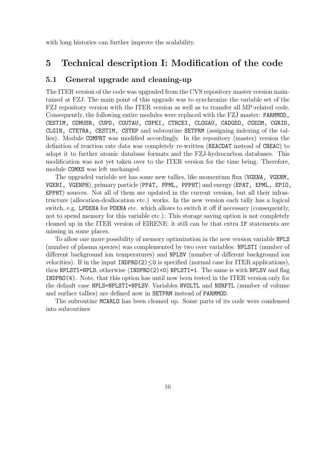with long histories can further improve the scalability.

## 5 Technical description I: Modification of the code

## 5.1 General upgrade and cleaning-up

The ITER version of the code was upgraded from the CVS repository master version maintained at FZJ. The main point of this upgrade was to synchronize the variable set of the FZJ repository version with the ITER version as well as to transfer all MP-related code. Consequently, the following entire modules were replaced with the FZJ master: PARMMOD, CESTIM, COMUSR, CUPD, COUTAU, CSPEI, CTRCEI, CLOGAU, CADGEO, CGEOM, CGRID, CLGIN, CTETRA, CESTIM, CSTEP and subroutine SETPRM (assigning indexing of the tallies). Module COMPRT was modified accordingly. In the repository (master) version the definition of reaction rate data was completely re-written (REACDAT instead of CREAC) to adopt it to further atomic database formats and the FZJ-hydrocarbon databases. This modification was not yet taken over to the ITER version for the time being. Therefore, module COMXS was left unchanged.

The upgraded variable set has some new tallies, like momentum flux (VGENA, VGENM, VGENI, VGENPH), primary particle (PPAT, PPML, PPPHT) and energy (EPAT, EPML, EPIO, EPPHT) sources. Not all of them are updated in the current version, but all their infrastructure (allocation-deallocation etc.) works. In the new version each tally has a logical switch, e.g. LPDENA for PDENA etc. which allows to switch it off if necessary (consequently, not to spend memory for this variable etc.). This storage saving option is not completely cleaned up in the ITER version of EIRENE: it still can be that extra IF statements are missing in some places.

To allow one more possibility of memory optimization in the new version variable NPLS (number of plasma species) was complemented by two over variables: NPLSTI (number of different background ion temperatures) and NPLSV (number of different background ion velocities). If in the input  $INDPRO(2) \leq 0$  is specified (normal case for ITER applications), then NPLSTI=NPLS, otherwise (INDPRO(2)<0) NPLSTI=1. The same is with NPLSV and flag INDPRO(4). Note, that this option has until now been tested in the ITER version only for the default case NPLS=NPLSTI=NPLSV. Variables NVOLTL and NSRFTL (number of volume and surface tallies) are defined now in SETPRM instead of PARMMOD.

The subroutine MCARLO has been cleaned up. Some parts of its code were condensed into subroutines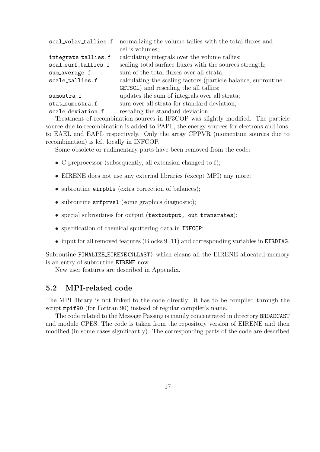| scal_volav_tallies.f | normalizing the volume tallies with the total fluxes and      |
|----------------------|---------------------------------------------------------------|
|                      | cell's volumes;                                               |
| integrate_tallies.f  | calculating integrals over the volume tallies;                |
| scal_surf_tallies.f  | scaling total surface fluxes with the sources strength;       |
| sum_average.f        | sum of the total fluxes over all strata;                      |
| scale_tallies.f      | calculating the scaling factors (particle balance, subroutine |
|                      | <b>GETSCL</b> ) and rescaling the all tallies;                |
| sumostra.f           | updates the sum of integrals over all strata;                 |
| stat_sumostra.f      | sum over all strata for standard deviation;                   |
| scale_deviation.f    | rescaling the standard deviation;                             |
|                      |                                                               |

Treatment of recombination sources in IF3COP was slightly modified. The particle source due to recombination is added to PAPL, the energy sources for electrons and ions: to EAEL and EAPL respectively. Only the array CPPVR (momentum sources due to recombination) is left locally in INFCOP.

Some obsolete or rudimentary parts have been removed from the code:

- C preprocessor (subsequently, all extension changed to f);
- EIRENE does not use any external libraries (except MPI) any more;
- subroutine eirpbls (extra correction of balances);
- subroutine srfprvsl (some graphics diagnostic);
- special subroutines for output (textoutput, out\_transrates);
- specification of chemical sputtering data in INFCOP;
- input for all removed features (Blocks 9..11) and corresponding variables in EIRDIAG.

Subroutine FINALIZE EIRENE(NLLAST) which cleans all the EIRENE allocated memory is an entry of subroutine EIRENE now.

New user features are described in Appendix.

## 5.2 MPI-related code

The MPI library is not linked to the code directly: it has to be compiled through the script mpif90 (for Fortran 90) instead of regular compiler's name.

The code related to the Message Passing is mainly concentrated in directory BROADCAST and module CPES. The code is taken from the repository version of EIRENE and then modified (in some cases significantly). The corresponding parts of the code are described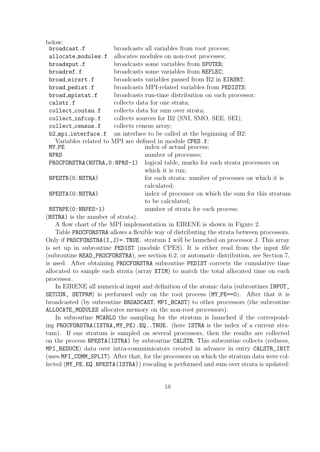| below:                             |  |                                                                        |  |  |
|------------------------------------|--|------------------------------------------------------------------------|--|--|
| broadcast.f                        |  | broadcasts all variables from root process;                            |  |  |
| allocate_modules.f                 |  | allocates modules on non-root processes;                               |  |  |
| broadsput.f                        |  | broadcasts some variables from SPUTER;                                 |  |  |
| broadref.f                         |  | broadcasts some variables from REFLEC;                                 |  |  |
| broad_eirsrt.f                     |  | broadcasts variables passed from B2 in EIRSRT;                         |  |  |
| broad_pedist.f                     |  | broadcasts MPI-related variables from PEDISTS;                         |  |  |
| broad_mpistat.f                    |  | broadcasts run-time distribution on each processor;                    |  |  |
| calstr.f                           |  | collects data for one strata;                                          |  |  |
| collect_coutau.f                   |  | collects data for sum over strata;                                     |  |  |
| collect_infcop.f                   |  | collects sources for B2 (SNI, SMO, SEE, SEI);                          |  |  |
| collect_census.f                   |  | collects census array;                                                 |  |  |
|                                    |  | $b2$ mpi interface.f an interface to be called at the beginning of B2; |  |  |
|                                    |  | Variables related to MPI are defined in module CPES.f:                 |  |  |
| MY_PE                              |  | index of actual process;                                               |  |  |
| <b>NPRS</b>                        |  | number of processes;                                                   |  |  |
| PROCFORSTRA (NSTRA, 0: NPRS-1)     |  | logical table, marks for each strata processors on                     |  |  |
|                                    |  | which it is run;                                                       |  |  |
| NPESTR(0:NSTRA)                    |  | for each strata: number of processes on which it is                    |  |  |
|                                    |  | calculated;                                                            |  |  |
| NPESTA (0:NSTRA)                   |  | index of processor on which the sum for this stratum                   |  |  |
|                                    |  | to be calculated;                                                      |  |  |
| NSTRPE(0:NRPES-1)                  |  | number of strata for each process;                                     |  |  |
| $(NQTRA)$ is the number of strata) |  |                                                                        |  |  |

(NSTRA) is the number of strata).

A flow chart of the MPI implementation in EIRENE is shown in Figure 2.

Table PROCFORSTRA allows a flexible way of distributing the strata between processors. Only if PROCFORSTRA $(I, J)$ =. TRUE. stratum I will be launched on processor J. This array is set up in subroutine PEDIST (module CPES). It is either read from the input file (subroutine READ\_PROCFORSTRA), see section 6.2, or automatic distribution, see Section 7, is used. After obtaining PROCFORSTRA subroutine PEDIST corrects the cumulative time allocated to sample each strata (array XTIM) to match the total allocated time on each processor.

In EIRENE all numerical input and definition of the atomic data (subroutines INPUT, SETCON, SETPRM) is performed only on the root process (MY PE==0). After that it is broadcasted (by subroutine BROADCAST, MPI\_BCAST) to other processors (the subroutine ALLOCATE\_MODULES allocates memory on the non-root processors).

In subroutine MCARLO the sampling for the stratum is launched if the corresponding PROCFORSTRA(ISTRA,MY\_PE).EQ..TRUE. (here ISTRA is the index of a current stratum). If one stratum is sampled on several processors, then the results are collected on the process NPESTA(ISTRA) by subroutine CALSTR. This subroutine collects (reduces, MPI\_REDUCE) data over intra-communicators created in advance in entry CALSTR\_INIT (uses MPI\_COMM\_SPLIT). After that, for the processors on which the stratum data were collected (MY\_PE.EQ.NPESTA(ISTRA)) rescaling is performed and sum over strata is updated: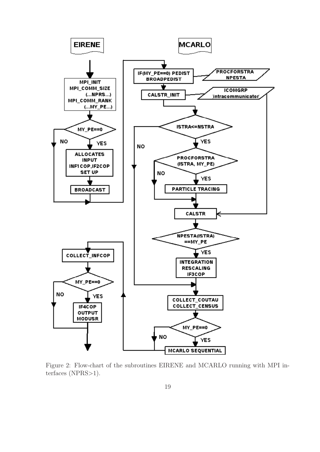

Figure 2: Flow-chart of the subroutines EIRENE and MCARLO running with MPI interfaces (NPRS>1).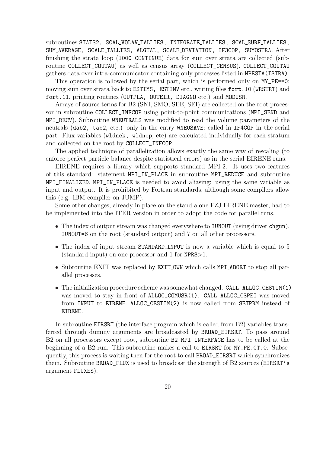subroutines STATS2, SCAL VOLAV TALLIES, INTEGRATE TALLIES, SCAL SURF TALLIES, SUM AVERAGE, SCALE TALLIES, ALGTAL, SCALE DEVIATION, IF3COP, SUMOSTRA. After finishing the strata loop (1000 CONTINUE) data for sum over strata are collected (subroutine COLLECT\_COUTAU) as well as census array (COLLECT\_CENSUS). COLLECT\_COUTAU gathers data over intra-communicator containing only processes listed in NPESTA(ISTRA).

This operation is followed by the serial part, which is performed only on  $MY\_PE==0$ : moving sum over strata back to ESTIMS, ESTIMV etc., writing files fort.10 (WRSTRT) and fort.11, printing routines (OUTPLA, OUTEIR, DIAGNO etc.) and MODUSR.

Arrays of source terms for B2 (SNI, SMO, SEE, SEI) are collected on the root processor in subroutine COLLECT\_INFCOP using point-to-point communications (MPI\_SEND and MPI\_RECV). Subroutine WNEUTRALS was modified to read the volume parameters of the neutrals (dab2, tab2, etc.) only in the entry WNEUSAVE: called in IF4COP in the serial part. Flux variables (wldnek, wldnep, etc) are calculated individually for each stratum and collected on the root by COLLECT\_INFCOP.

The applied technique of parallelization allows exactly the same way of rescaling (to enforce perfect particle balance despite statistical errors) as in the serial EIRENE runs.

EIRENE requires a library which supports standard MPI-2. It uses two features of this standard: statement MPI\_IN\_PLACE in subroutine MPI\_REDUCE and subroutine MPI\_FINALIZED. MPI\_IN\_PLACE is needed to avoid aliasing: using the same variable as input and output. It is prohibited by Fortran standards, although some compilers allow this (e.g. IBM compiler on JUMP).

Some other changes, already in place on the stand alone FZJ EIRENE master, had to be implemented into the ITER version in order to adopt the code for parallel runs.

- The index of output stream was changed everywhere to **IUNOUT** (using driver chgun). IUNOUT=6 on the root (standard output) and 7 on all other processors.
- The index of input stream STANDARD\_INPUT is now a variable which is equal to 5 (standard input) on one processor and 1 for NPRS>1.
- Subroutine EXIT was replaced by EXIT\_OWN which calls MPI\_ABORT to stop all parallel processes.
- The initialization procedure scheme was somewhat changed. CALL ALLOC\_CESTIM(1) was moved to stay in front of ALLOC\_COMUSR(1). CALL ALLOC\_CSPEI was moved from INPUT to EIRENE. ALLOC\_CESTIM(2) is now called from SETPRM instead of EIRENE.

In subroutine EIRSRT (the interface program which is called from B2) variables transferred through dummy arguments are broadcasted by BROAD\_EIRSRT. To pass around B2 on all processors except root, subroutine B2\_MPI\_INTERFACE has to be called at the beginning of a B2 run. This subroutine makes a call to EIRSRT for MY\_PE.GT.0. Subsequently, this process is waiting then for the root to call BROAD\_EIRSRT which synchronizes them. Subroutine BROAD\_FLUX is used to broadcast the strength of B2 sources (EIRSRT's argument FLUXES).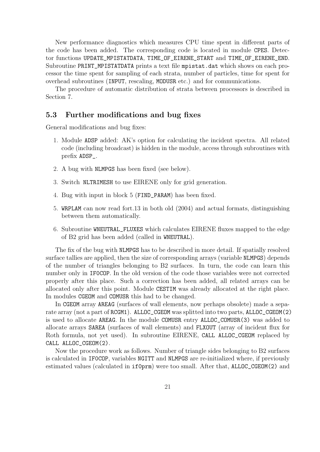New performance diagnostics which measures CPU time spent in different parts of the code has been added. The corresponding code is located in module CPES. Detector functions UPDATE\_MPISTATDATA, TIME\_OF\_EIRENE\_START and TIME\_OF\_EIRENE\_END. Subroutine PRINT\_MPISTATDATA prints a text file mpistat.dat which shows on each processor the time spent for sampling of each strata, number of particles, time for spent for overhead subroutines (INPUT, rescaling, MODUSR etc.) and for communications.

The procedure of automatic distribution of strata between processors is described in Section 7.

### 5.3 Further modifications and bug fixes

General modifications and bug fixes:

- 1. Module ADSP added: AK's option for calculating the incident spectra. All related code (including broadcast) is hidden in the module, access through subroutines with prefix ADSP\_.
- 2. A bug with NLMPGS has been fixed (see below).
- 3. Switch NLTRIMESH to use EIRENE only for grid generation.
- 4. Bug with input in block 5 (FIND\_PARAM) has been fixed.
- 5. WRPLAM can now read fort.13 in both old (2004) and actual formats, distinguishing between them automatically.
- 6. Subroutine WNEUTRAL\_FLUXES which calculates EIRENE fluxes mapped to the edge of B2 grid has been added (called in WNEUTRAL).

The fix of the bug with NLMPGS has to be described in more detail. If spatially resolved surface tallies are applied, then the size of corresponding arrays (variable NLMPGS) depends of the number of triangles belonging to B2 surfaces. In turn, the code can learn this number only in IF0COP. In the old version of the code those variables were not corrected properly after this place. Such a correction has been added, all related arrays can be allocated only after this point. Module CESTIM was already allocated at the right place. In modules CGEOM and COMUSR this had to be changed.

In CGEOM array AREAG (surfaces of wall elements, now perhaps obsolete) made a separate array (not a part of RCGM1). ALLOC\_CGEOM was splitted into two parts, ALLOC\_CGEOM(2) is used to allocate AREAG. In the module COMUSR entry ALLOC\_COMUSR(3) was added to allocate arrays SAREA (surfaces of wall elements) and FLXOUT (array of incident flux for Roth formula, not yet used). In subroutine EIRENE, CALL ALLOC\_CGEOM replaced by CALL ALLOC\_CGEOM(2).

Now the procedure work as follows. Number of triangle sides belonging to B2 surfaces is calculated in IF0COP, variables NGITT and NLMPGS are re-initialized where, if previously estimated values (calculated in if0prm) were too small. After that, ALLOC\_CGEOM(2) and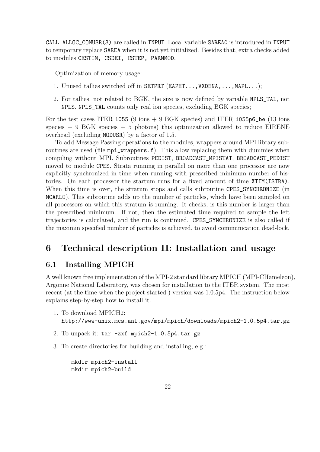CALL ALLOC\_COMUSR(3) are called in INPUT. Local variable SAREA0 is introduced in INPUT to temporary replace SAREA when it is not yet initialized. Besides that, extra checks added to modules CESTIM, CSDEI, CSTEP, PARMMOD.

Optimization of memory usage:

- 1. Unused tallies switched off in SETPRT (EAPHT...,VXDENA,...,MAPL...);
- 2. For tallies, not related to BGK, the size is now defined by variable NPLS\_TAL, not NPLS. NPLS\_TAL counts only real ion species, excluding BGK species;

For the test cases ITER 1055 (9 ions  $+$  9 BGK species) and ITER 1055p6 be (13 ions species  $+ 9$  BGK species  $+ 5$  photons) this optimization allowed to reduce EIRENE overhead (excluding MODUSR) by a factor of 1.5.

To add Message Passing operations to the modules, wrappers around MPI library subroutines are used (file mpi\_wrappers.f). This allow replacing them with dummies when compiling without MPI. Subroutines PEDIST, BROADCAST\_MPISTAT, BROADCAST\_PEDIST moved to module CPES. Strata running in parallel on more than one processor are now explicitly synchronized in time when running with prescribed minimum number of histories. On each processor the startum runs for a fixed amount of time XTIM(ISTRA). When this time is over, the stratum stops and calls subroutine CPES\_SYNCHRONIZE (in MCARLO). This subroutine adds up the number of particles, which have been sampled on all processors on which this stratum is running. It checks, is this number is larger than the prescribed minimum. If not, then the estimated time required to sample the left trajectories is calculated, and the run is continued. CPES\_SYNCHRONIZE is also called if the maximin specified number of particles is achieved, to avoid communication dead-lock.

## 6 Technical description II: Installation and usage

## 6.1 Installing MPICH

A well known free implementation of the MPI-2 standard library MPICH (MPI-CHameleon), Argonne National Laboratory, was chosen for installation to the ITER system. The most recent (at the time when the project started ) version was 1.0.5p4. The instruction below explains step-by-step how to install it.

- 1. To download MPICH2: http://www-unix.mcs.anl.gov/mpi/mpich/downloads/mpich2-1.0.5p4.tar.gz
- 2. To unpack it: tar -zxf mpich2-1.0.5p4.tar.gz
- 3. To create directories for building and installing, e.g.:

mkdir mpich2-install mkdir mpich2-build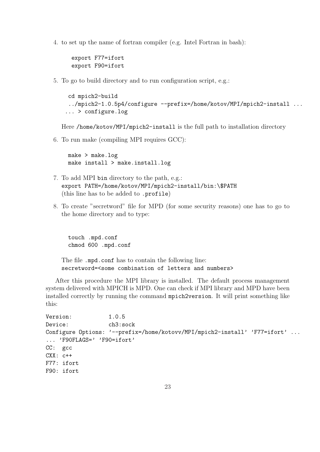4. to set up the name of fortran compiler (e.g. Intel Fortran in bash):

```
export F77=ifort
export F90=ifort
```
5. To go to build directory and to run configuration script, e.g.:

```
cd mpich2-build
 ../mpich2-1.0.5p4/configure --prefix=/home/kotov/MPI/mpich2-install ...
... > configure.log
```
Here /home/kotov/MPI/mpich2-install is the full path to installation directory

6. To run make (compiling MPI requires GCC):

make > make.log make install > make.install.log

- 7. To add MPI bin directory to the path, e.g.: export PATH=/home/kotov/MPI/mpich2-install/bin:\\$PATH (this line has to be added to .profile)
- 8. To create "secretword" file for MPD (for some security reasons) one has to go to the home directory and to type:

touch .mpd.conf chmod 600 .mpd.conf

The file .mpd.conf has to contain the following line: secretword=<some combination of letters and numbers>

After this procedure the MPI library is installed. The default process management system delivered with MPICH is MPD. One can check if MPI library and MPD have been installed correctly by running the command mpich2version. It will print something like this:

```
Version: 1.0.5
Device: ch3:sock
Configure Options: '--prefix=/home/kotovv/MPI/mpich2-install' 'F77=ifort' ...
... 'F90FLAGS=' 'F90=ifort'
CC: gcc
CXX: c++
F77: ifort
F90: ifort
```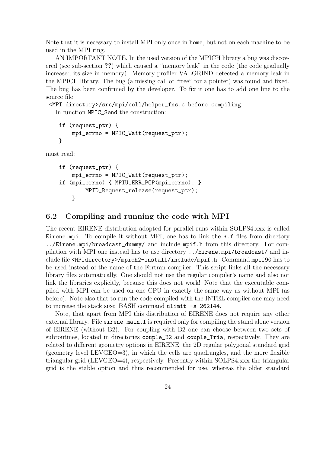Note that it is necessary to install MPI only once in home, but not on each machine to be used in the MPI ring.

AN IMPORTANT NOTE. In the used version of the MPICH library a bug was discovered (see sub-section ??) which caused a "memory leak" in the code (the code gradually increased its size in memory). Memory profiler VALGRIND detected a memory leak in the MPICH library. The bug (a missing call of "free" for a pointer) was found and fixed. The bug has been confirmed by the developer. To fix it one has to add one line to the source file

<MPI directory>/src/mpi/coll/helper\_fns.c before compiling. In function MPIC\_Send the construction:

```
if (request_ptr) {
    mpi_errno = MPIC_Wait(request_ptr);
}
```
must read:

```
if (request_ptr) {
    mpi_errno = MPIC_Wait(request_ptr);
if (mpi_errno) { MPIU_ERR_POP(mpi_errno); }
        MPID_Request_release(request_ptr);
    }
```
### 6.2 Compiling and running the code with MPI

The recent EIRENE distribution adopted for parallel runs within SOLPS4.xxx is called Eirene.mpi. To compile it without MPI, one has to link the  $\ast$ .f files from directory ../Eirene.mpi/broadcast\_dummy/ and include mpif.h from this directory. For compilation with MPI one instead has to use directory ../Eirene.mpi/broadcast/ and include file <MPIdirectory>/mpich2-install/include/mpif.h. Command mpif90 has to be used instead of the name of the Fortran compiler. This script links all the necessary library files automatically. One should not use the regular compiler's name and also not link the libraries explicitly, because this does not work! Note that the executable compiled with MPI can be used on one CPU in exactly the same way as without MPI (as before). Note also that to run the code compiled with the INTEL compiler one may need to increase the stack size: BASH command ulimit -s 262144.

Note, that apart from MPI this distribution of EIRENE does not require any other external library. File eirene\_main.f is required only for compiling the stand alone version of EIRENE (without B2). For coupling with B2 one can choose between two sets of subroutines, located in directories couple\_B2 and couple\_Tria, respectively. They are related to different geometry options in EIRENE: the 2D regular polygonal standard grid (geometry level LEVGEO=3), in which the cells are quadrangles, and the more flexible triangular grid (LEVGEO=4), respectively. Presently within SOLPS4.xxx the triangular grid is the stable option and thus recommended for use, whereas the older standard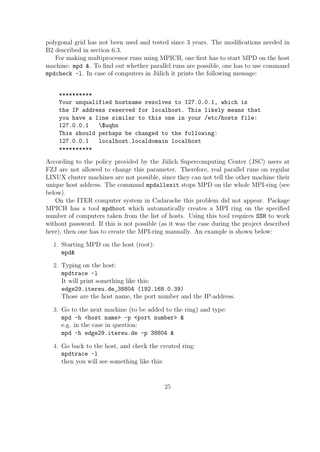polygonal grid has not been used and tested since 3 years. The modifications needed in B2 described in section 6.3.

For making multiprocessor runs using MPICH, one first has to start MPD on the host machine: mpd &. To find out whether parallel runs are possible, one has to use command mpdcheck  $-1$ . In case of computers in Jülich it prints the following message:

```
**********
Your unqualified hostname resolves to 127.0.0.1, which is
the IP address reserved for localhost. This likely means that
you have a line similar to this one in your /etc/hosts file:
127.0.0.1 \$uqhn
This should perhaps be changed to the following:
127.0.0.1 localhost.localdomain localhost
**********
```
According to the policy provided by the Jülich Supercomputing Center (JSC) users at FZJ are not allowed to change this parameter. Therefore, real parallel runs on regular LINUX cluster machines are not possible, since they can not tell the other machine their unique host address. The command mpdallexit stops MPD on the whole MPI-ring (see below).

On the ITER computer system in Cadarache this problem did not appear. Package MPICH has a tool mpdboot which automatically creates a MPI ring on the specified number of computers taken from the list of hosts. Using this tool requires SSH to work without password. If this is not possible (as it was the case during the project described here), then one has to create the MPI-ring manually. An example is shown below:

- 1. Starting MPD on the host (root): mpd&
- 2. Typing on the host: mpdtrace -l It will print something like this: edge29.itereu.de\_38804 (192.168.0.39) Those are the host name, the port number and the IP-address.
- 3. Go to the next machine (to be added to the ring) and type: mpd -h <host name> -p <port number> & e.g. in the case in question: mpd -h edge29.itereu.de -p 38804 &
- 4. Go back to the host, and check the created ring: mpdtrace -l then you will see something like this: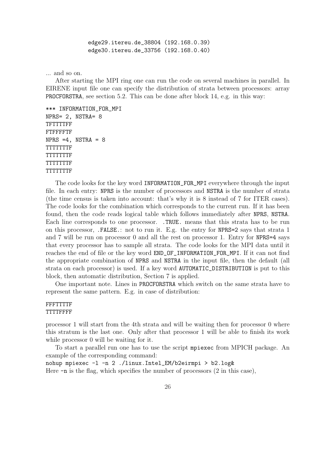edge29.itereu.de\_38804 (192.168.0.39) edge30.itereu.de\_33756 (192.168.0.40)

... and so on.

After starting the MPI ring one can run the code on several machines in parallel. In EIRENE input file one can specify the distribution of strata between processors: array PROCFORSTRA, see section 5.2. This can be done after block 14, e.g. in this way:

```
*** INFORMATION_FOR_MPI
NPRS= 2, NSTRA= 8
TFTTTTFF
FTFFFFTF
NPRS = 4, NSTRA = 8TTTTTTTF
TTTTTTTF
TTTTTTTF
TTTTTTTF
```
The code looks for the key word INFORMATION\_FOR\_MPI everywhere through the input file. In each entry: NPRS is the number of processors and NSTRA is the number of strata (the time census is taken into account: that's why it is 8 instead of 7 for ITER cases). The code looks for the combination which corresponds to the current run. If it has been found, then the code reads logical table which follows immediately after NPRS, NSTRA. Each line corresponds to one processor. .TRUE. means that this strata has to be run on this processor, .FALSE.: not to run it. E.g. the entry for NPRS=2 says that strata 1 and 7 will be run on processor 0 and all the rest on processor 1. Entry for NPRS=4 says that every processor has to sample all strata. The code looks for the MPI data until it reaches the end of file or the key word END\_OF\_INFORMATION\_FOR\_MPI. If it can not find the appropriate combination of NPRS and NSTRA in the input file, then the default (all strata on each processor) is used. If a key word AUTOMATIC\_DISTRIBUTION is put to this block, then automatic distribution, Section 7 is applied.

One important note. Lines in PROCFORSTRA which switch on the same strata have to represent the same pattern. E.g. in case of distribution:

### FFFTTTTF TTTTFFFF

processor 1 will start from the 4th strata and will be waiting then for processor 0 where this stratum is the last one. Only after that processor 1 will be able to finish its work while processor 0 will be waiting for it.

To start a parallel run one has to use the script mpiexec from MPICH package. An example of the corresponding command: nohup mpiexec -l -n 2 ./linux.Intel\_EM/b2eirmpi > b2.log&

Here  $-n$  is the flag, which specifies the number of processors  $(2 \text{ in this case})$ ,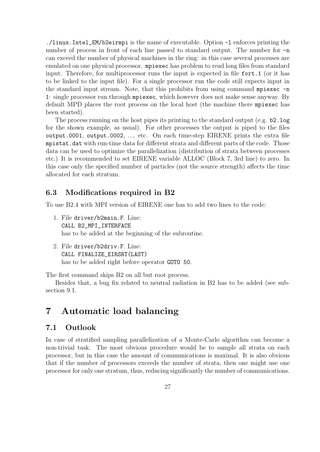./linux.Intel\_EM/b2eirmpi is the name of executable. Option -l enforces printing the number of process in front of each line passed to standard output. The number for  $-n$ can exceed the number of physical machines in the ring: in this case several processes are emulated on one physical processor. mpiexec has problem to read long files from standard input. Therefore, for multiprocessor runs the input is expected in file fort.1 (or it has to be linked to the input file). For a single processor run the code still expects input in the standard input stream. Note, that this prohibits from using command mpiexec -n 1: single processor run through mpiexec, which however does not make sense anyway. By default MPD places the root process on the local host (the machine there mpiexec has been started).

The process running on the host pipes its printing to the standard output (e.g. b2.log for the shown example, as usual). For other processes the output is piped to the files output.0001, output.0002, ..., etc. On each time-step EIRENE prints the extra file mpistat.dat with run-time data for different strata and different parts of the code. Those data can be used to optimize the parallelization (distribution of strata between processes etc.) It is recommended to set EIRENE variable ALLOC (Block 7, 3rd line) to zero. In this case only the specified number of particles (not the source strength) affects the time allocated for each stratum.

### 6.3 Modifications required in B2

To use B2.4 with MPI version of EIRENE one has to add two lines to the code:

- 1. File driver/b2main.F. Line: CALL B2\_MPI\_INTERFACE has to be added at the beginning of the subroutine.
- 2. File driver/b2driv.F. Line: CALL FINALIZE\_EIRSRT(LAST) has to be added right before operator GOTO 50.

The first command skips B2 on all but root process.

Besides that, a bug fix related to neutral radiation in B2 has to be added (see subsection 9.1.

## 7 Automatic load balancing

## 7.1 Outlook

In case of stratified sampling parallelization of a Monte-Carlo algorithm can become a non-trivial task. The most obvious procedure would be to sample all strata on each processor, but in this case the amount of communications is maximal. It is also obvious that if the number of processors exceeds the number of strata, then one might use one processor for only one stratum, thus, reducing significantly the number of communications.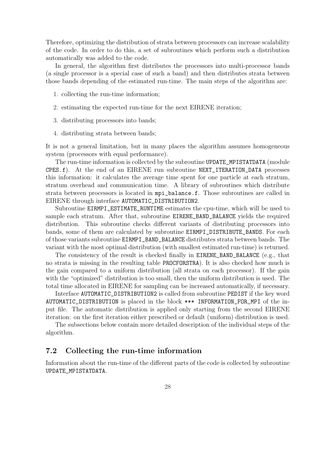Therefore, optimizing the distribution of strata between processors can increase scalability of the code. In order to do this, a set of subroutines which perform such a distribution automatically was added to the code.

In general, the algorithm first distributes the processors into multi-processor bands (a single processor is a special case of such a band) and then distributes strata between those bands depending of the estimated run-time. The main steps of the algorithm are:

- 1. collecting the run-time information;
- 2. estimating the expected run-time for the next EIRENE iteration;
- 3. distributing processors into bands;
- 4. distributing strata between bands;

It is not a general limitation, but in many places the algorithm assumes homogeneous system (processors with equal performance).

The run-time information is collected by the subroutine UPDATE\_MPISTATDATA (module CPES.f). At the end of an EIRENE run subroutine NEXT\_ITERATION\_DATA processes this information: it calculates the average time spent for one particle at each stratum, stratum overhead and communication time. A library of subroutines which distribute strata between processors is located in mpi\_balance.f. Those subroutines are called in EIRENE through interface AUTOMATIC\_DISTRIBUTION2.

Subroutine EIRMPI\_ESTIMATE\_RUNTIME estimates the cpu-time, which will be used to sample each stratum. After that, subroutine EIRENE\_BAND\_BALANCE yields the required distribution. This subroutine checks different variants of distributing processors into bands, some of them are calculated by subroutine EIRMPI\_DISTRIBUTE\_BANDS. For each of those variants subroutine EIRMPI\_BAND\_BALANCE distributes strata between bands. The variant with the most optimal distribution (with smallest estimated run-time) is returned.

The consistency of the result is checked finally in EIRENE\_BAND\_BALANCE (e.g., that no strata is missing in the resulting table PROCFORSTRA). It is also checked how much is the gain compared to a uniform distribution (all strata on each processor). If the gain with the "optimized" distribution is too small, then the uniform distribution is used. The total time allocated in EIRENE for sampling can be increased automatically, if necessary.

Interface AUTOMATIC\_DISTRIBUTION2 is called from subroutine PEDIST if the key word AUTOMATIC\_DISTRIBUTION is placed in the block \*\*\* INFORMATION\_FOR\_MPI of the input file. The automatic distribution is applied only starting from the second EIRENE iteration: on the first iteration either prescribed or default (uniform) distribution is used.

The subsections below contain more detailed description of the individual steps of the algorithm.

### 7.2 Collecting the run-time information

Information about the run-time of the different parts of the code is collected by subroutine UPDATE\_MPISTATDATA.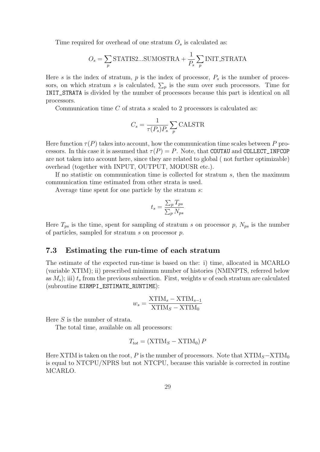Time required for overhead of one stratum  $O<sub>s</sub>$  is calculated as:

$$
O_s = \sum_{p} \text{STATIS2...SUMOSTRA} + \frac{1}{P_s} \sum_{p} \text{INIT\_STRATA}
$$

Here s is the index of stratum,  $p$  is the index of processor,  $P<sub>s</sub>$  is the number of processors, on which stratum s is calculated,  $\Sigma_p$  is the sum over such processors. Time for INIT\_STRATA is divided by the number of processors because this part is identical on all processors.

Communication time  $C$  of strata s scaled to 2 processors is calculated as:

$$
C_s = \frac{1}{\tau(P_s)P_s} \sum_p \text{CALSTR}
$$

Here function  $\tau(P)$  takes into account, how the communication time scales between P processors. In this case it is assumed that  $\tau(P) = P$ . Note, that COUTAU and COLLECT\_INFCOP are not taken into account here, since they are related to global ( not further optimizable) overhead (together with INPUT, OUTPUT, MODUSR etc.).

If no statistic on communication time is collected for stratum  $s$ , then the maximum communication time estimated from other strata is used.

Average time spent for one particle by the stratum s:

$$
t_s = \frac{\sum_p T_{ps}}{\sum_p N_{ps}}
$$

Here  $T_{ps}$  is the time, spent for sampling of stratum s on processor p,  $N_{ps}$  is the number of particles, sampled for stratum s on processor p.

### 7.3 Estimating the run-time of each stratum

The estimate of the expected run-time is based on the: i) time, allocated in MCARLO (variable XTIM); ii) prescribed minimum number of histories (NMINPTS, referred below as  $M_s$ ; iii)  $t_s$  from the previous subsection. First, weights w of each stratum are calculated (subroutine EIRMPI\_ESTIMATE\_RUNTIME):

$$
w_s = \frac{\text{XTIM}_s - \text{XTIM}_{s-1}}{\text{XTIM}_S - \text{XTIM}_0}
$$

Here  $S$  is the number of strata.

The total time, available on all processors:

$$
T_{tot} = (\text{XTIM}_S - \text{XTIM}_0) P
$$

Here XTIM is taken on the root, P is the number of processors. Note that  $X\text{TIM}_S-\text{XTIM}_0$ is equal to NTCPU/NPRS but not NTCPU, because this variable is corrected in routine MCARLO.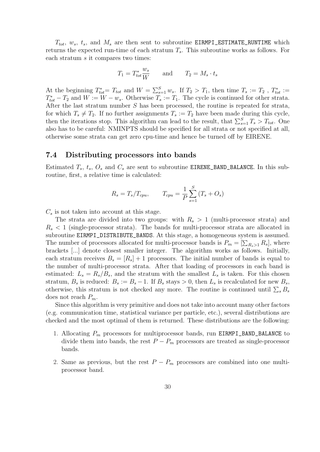$T_{tot}$ ,  $w_s$ ,  $t_s$ , and  $M_s$  are then sent to subroutine EIRMPI\_ESTIMATE\_RUNTIME which returns the expected run-time of each stratum  $T_s$ . This subroutine works as follows. For each stratum s it compares two times:

$$
T_1 = T_{tot}^* \frac{w_s}{W} \quad \text{and} \quad T_2 = M_s \cdot t_s
$$

At the beginning  $T_{tot}^* = T_{tot}$  and  $W = \sum_{s=1}^S w_s$ . If  $T_2 > T_1$ , then time  $T_s := T_2$ ,  $T_{tot}^* := T_3$  $T_{tot}^* - T_2$  and  $W := W - w_s$ . Otherwise  $T_s := T_1$ . The cycle is continued for other strata. After the last stratum number S has been processed, the routine is repeated for strata, for which  $T_s \neq T_2$ . If no further assignments  $T_s := T_2$  have been made during this cycle, then the iterations stop. This algorithm can lead to the result, that  $\sum_{s=1}^{S} T_s > T_{tot}$ . One also has to be careful: NMINPTS should be specified for all strata or not specified at all, otherwise some strata can get zero cpu-time and hence be turned off by EIRENE.

### 7.4 Distributing processors into bands

Estimated  $T_s$ ,  $t_s$ ,  $O_s$  and  $C_s$  are sent to subroutine EIRENE\_BAND\_BALANCE. In this subroutine, first, a relative time is calculated:

$$
R_s = T_s/T_{cpu},
$$
  $T_{cpu} = \frac{1}{P} \sum_{s=1}^{S} (T_s + O_s)$ 

 $C_s$  is not taken into account at this stage.

The strata are divided into two groups: with  $R_s > 1$  (multi-processor strata) and  $R_s < 1$  (single-processor strata). The bands for multi-processor strata are allocated in subroutine EIRMPI\_DISTRIBUTE\_BANDS. At this stage, a homogeneous system is assumed. The number of processors allocated for multi-processor bands is  $P_m = [\sum_{R_s>1} R_s]$ , where brackets [...] denote closest smaller integer. The algorithm works as follows. Initially, each stratum receives  $B_s = [R_s] + 1$  processors. The initial number of bands is equal to the number of multi-processor strata. After that loading of processors in each band is estimated:  $L_s = R_s/B_s$ , and the stratum with the smallest  $L_s$  is taken. For this chosen stratum,  $B_s$  is reduced:  $B_s := B_s - 1$ . If  $B_s$  stays > 0, then  $L_s$  is recalculated for new  $B_s$ , otherwise, this stratum is not checked any more. The routine is continued until  $\sum_s B_s$ does not reach  $P_m$ .

Since this algorithm is very primitive and does not take into account many other factors (e.g. communication time, statistical variance per particle, etc.), several distributions are checked and the most optimal of them is returned. These distributions are the following:

- 1. Allocating  $P_m$  processors for multiprocessor bands, run EIRMPI\_BAND\_BALANCE to divide them into bands, the rest  $P - P_m$  processors are treated as single-processor bands.
- 2. Same as previous, but the rest  $P P_m$  processors are combined into one multiprocessor band.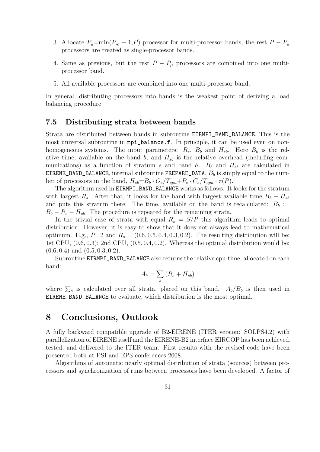- 3. Allocate  $P_{\mu} = \min(P_m + 1, P)$  processor for multi-processor bands, the rest  $P P_{\mu}$ processors are treated as single-processor bands.
- 4. Same as previous, but the rest  $P P_{\mu}$  processors are combined into one multiprocessor band.
- 5. All available processors are combined into one multi-processor band.

In general, distributing processors into bands is the weakest point of deriving a load balancing procedure.

### 7.5 Distributing strata between bands

Strata are distributed between bands in subroutine EIRMPI\_BAND\_BALANCE. This is the most universal subroutine in mpi\_balance.f. In principle, it can be used even on nonhomogeneous systems. The input parameters:  $R_s$ ,  $B_b$  and  $H_{sb}$ . Here  $B_b$  is the relative time, available on the band  $b$ , and  $H_{sb}$  is the relative overhead (including communications) as a function of stratum s and band b.  $B_b$  and  $H_{sb}$  are calculated in EIRENE\_BAND\_BALANCE, internal subroutine PREPARE\_DATA.  $B_b$  is simply equal to the number of processors in the band,  $H_{sb} = B_b \cdot O_s / T_{cpu} + P_s \cdot C_s / T_{cpu} \cdot \tau(P)$ .

The algorithm used in EIRMPI\_BAND\_BALANCE works as follows. It looks for the stratum with largest R<sub>s</sub>. After that, it looks for the band with largest available time  $B_b - H_{sb}$ and puts this stratum there. The time, available on the band is recalculated:  $B_b :=$  $B_b - R_s - H_{sb}$ . The procedure is repeated for the remaining strata.

In the trivial case of strata with equal  $R_s = S/P$  this algorithm leads to optimal distribution. However, it is easy to show that it does not always lead to mathematical optimum. E.g.,  $P=2$  and  $R_s = (0.6, 0.5, 0.4, 0.3, 0.2)$ . The resulting distribution will be: 1st CPU,  $(0.6, 0.3)$ ; 2nd CPU,  $(0.5, 0.4, 0.2)$ . Whereas the optimal distribution would be:  $(0.6, 0.4)$  and  $(0.5, 0.3, 0.2)$ .

Subroutine EIRMPI\_BAND\_BALANCE also returns the relative cpu-time, allocated on each band:  $\overline{\phantom{a}}$ 

$$
A_b = \sum_s (R_s + H_{sb})
$$

where  $\sum_s$  is calculated over all strata, placed on this band.  $A_b/B_b$  is then used in EIRENE\_BAND\_BALANCE to evaluate, which distribution is the most optimal.

## 8 Conclusions, Outlook

A fully backward compatible upgrade of B2-EIRENE (ITER version: SOLPS4.2) with parallelization of EIRENE itself and the EIRENE-B2 interface EIRCOP has been achieved, tested, and delivered to the ITER team. First results with the revised code have been presented both at PSI and EPS conferences 2008.

Algorithms of automatic nearly optimal distribution of strata (sources) between processors and synchronization of runs between processors have been developed. A factor of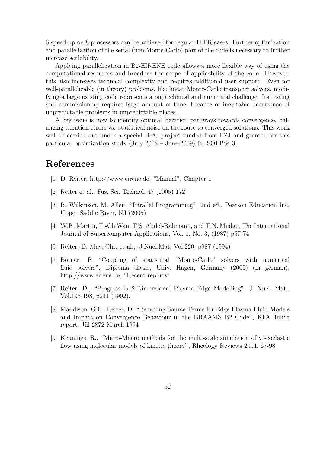6 speed-up on 8 processors can be achieved for regular ITER cases. Further optimization and parallelization of the serial (non Monte-Carlo) part of the code is necessary to further increase scalability.

Applying parallelization in B2-EIRENE code allows a more flexible way of using the computational resources and broadens the scope of applicability of the code. However, this also increases technical complexity and requires additional user support. Even for well-parallelizable (in theory) problems, like linear Monte-Carlo transport solvers, modifying a large existing code represents a big technical and numerical challenge. Its testing and commissioning requires large amount of time, because of inevitable occurrence of unpredictable problems in unpredictable places.

A key issue is now to identify optimal iteration pathways towards convergence, balancing iteration errors vs. statistical noise on the route to converged solutions. This work will be carried out under a special HPC project funded from FZJ and granted for this particular optimization study (July 2008 – June-2009) for SOLPS4.3.

## References

- [1] D. Reiter, http://www.eirene.de, "Manual", Chapter 1
- [2] Reiter et al., Fus. Sci. Technol. 47 (2005) 172
- [3] B. Wilkinson, M. Allen, "Parallel Programming", 2nd ed., Pearson Education Inc, Upper Saddle River, NJ (2005)
- [4] W.R. Martin, T.-Ch Wan, T.S. Abdel-Rahmann, and T.N. Mudge, The International Journal of Supercomputer Applications, Vol. 1, No. 3, (1987) p57-74
- [5] Reiter, D. May, Chr. et al.,, J.Nucl.Mat. Vol.220, p987 (1994)
- [6] Börner, P, "Coupling of statistical "Monte-Carlo" solvers with numerical fluid solvers", Diploma thesis, Univ. Hagen, Germany (2005) (in german), http://www.eirene.de, "Recent reports"
- [7] Reiter, D., "Progress in 2-Dimensional Plasma Edge Modelling", J. Nucl. Mat., Vol.196-198, p241 (1992).
- [8] Maddison, G.P., Reiter, D. "Recycling Source Terms for Edge Plasma Fluid Models and Impact on Convergence Behaviour in the BRAAMS B2 Code", KFA Jülich report, Jül-2872 March 1994
- [9] Keunings, R., "Micro-Macro methods for the multi-scale simulation of viscoelastic flow using molecular models of kinetic theory", Rheology Reviews 2004, 67-98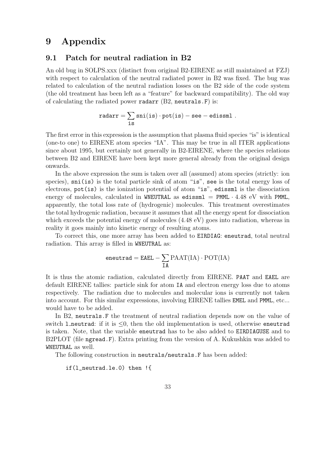## 9 Appendix

### 9.1 Patch for neutral radiation in B2

An old bug in SOLPS.xxx (distinct from original B2-EIRENE as still maintained at FZJ) with respect to calculation of the neutral radiated power in B2 was fixed. The bug was related to calculation of the neutral radiation losses on the B2 side of the code system (the old treatment has been left as a "feature" for backward compatibility). The old way of calculating the radiated power radarr  $(B2,$  neutrals. F) is:

$$
\texttt{radarr} = \sum_{\texttt{is}} \texttt{sni}(\texttt{is}) \cdot \texttt{pot}(\texttt{is}) - \texttt{see}-\texttt{edissml}\;.
$$

The first error in this expression is the assumption that plasma fluid species "is" is identical (one-to one) to EIRENE atom species "IA". This may be true in all ITER applications since about 1995, but certainly not generally in B2-EIRENE, where the species relations between B2 and EIRENE have been kept more general already from the original design onwards.

In the above expression the sum is taken over all (assumed) atom species (strictly: ion species), sni(is) is the total particle sink of atom "is", see is the total energy loss of electrons, pot(is) is the ionization potential of atom "is", edissml is the dissociation energy of molecules, calculated in WNEUTRAL as edissml =  $PMML \cdot 4.48$  eV with PMML, apparently, the total loss rate of (hydrogenic) molecules. This treatment overestimates the total hydrogenic radiation, because it assumes that all the energy spent for dissociation which exceeds the potential energy of molecules  $(4.48 \text{ eV})$  goes into radiation, whereas in reality it goes mainly into kinetic energy of resulting atoms.

To correct this, one more array has been added to EIRDIAG: eneutrad, total neutral radiation. This array is filled in WNEUTRAL as:

$$
\mathsf{e} \mathsf{neutrad} = \mathtt{E A E L} - \sum_{\text{IA}} \mathrm{PAAT}(\mathrm{IA}) \cdot \mathrm{POT}(\mathrm{IA})
$$

It is thus the atomic radiation, calculated directly from EIRENE. PAAT and EAEL are default EIRENE tallies: particle sink for atom IA and electron energy loss due to atoms respectively. The radiation due to molecules and molecular ions is currently not taken into account. For this similar expressions, involving EIRENE tallies EMEL and PMML, etc... would have to be added.

In B2, neutrals.F the treatment of neutral radiation depends now on the value of switch **l** neutrad: if it is  $\leq 0$ , then the old implementation is used, otherwise eneutrad is taken. Note, that the variable eneutrad has to be also added to EIRDIAGUSE and to B2PLOT (file ngread.F). Extra printing from the version of A. Kukushkin was added to WNEUTRAL as well.

The following construction in neutrals/neutrals.F has been added:

if(l\_neutrad.le.0) then !{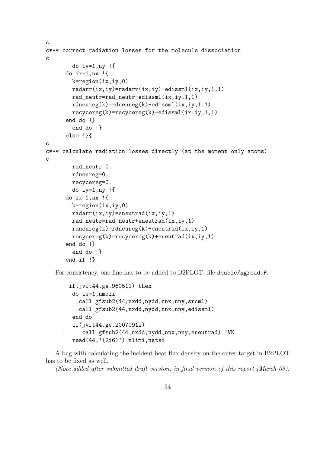```
c
c*** correct radiation losses for the molecule dissociation
\mathcal{C}do iy=1,ny !{
      do ix=1,nx !{
        k=region(ix,iy,0)
        radarr(ix,iy)=radarr(ix,iy)-edissml(ix,iy,1,1)
        rad_neutr=rad_neutr-edissml(ix,iy,1,1)
        rdneureg(k)=rdneureg(k)-edissml(ix,iy,1,1)
        recycereg(k)=recycereg(k)-edissml(ix,iy,1,1)
      end do !}
        end do !}
      else !}{
c
c*** calculate radiation losses directly (at the moment only atoms)
c
        rad_neutr=0.
        rdneureg=0.
        recycereg=0.
        do iy=1,ny !{
      do ix=1,nx !{
        k=region(ix,iy,0)
        radarr(ix,iy)=eneutrad(ix,iy,1)
        rad_neutr=rad_neutr+eneutrad(ix,iy,1)
        rdneureg(k)=rdneureg(k)+eneutrad(ix,iy,1)
        recycereg(k)=recycereg(k)+eneutrad(ix,iy,1)end do !}
        end do !}
      end if !}
```
For consistency, one line has to be added to B2PLOT, file double/ngread.F:

```
if(jvft44.ge.960511) then
do is=1,nmoli
   call gfsub2(44,nxdd,nydd,nnx,nny,srcml)
  call gfsub2(44,nxdd,nydd,nnx,nny,edissml)
end do
if(jvft44.ge.20070912)
    . call gfsub2(44,nxdd,nydd,nnx,nny,eneutrad) !VK
read(44,'(2i6)') nlimi, nstsi
```
A bug with calculating the incident heat flux density on the outer target in B2PLOT has to be fixed as well.

(Note added after submitted draft version, in final version of this report (March 08):